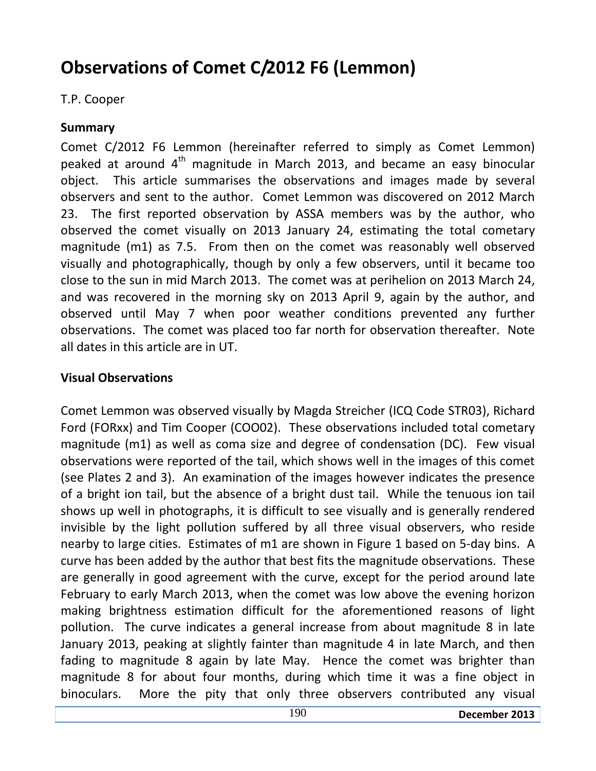# **Observations of Comet C/2012 F6 (Lemmon)**

## T.P. Cooper

## **Summary**

Comet C/2012 F6 Lemmon (hereinafter referred to simply as Comet Lemmon) peaked at around  $4<sup>th</sup>$  magnitude in March 2013, and became an easy binocular object. This article summarises the observations and images made by several observers and sent to the author. Comet Lemmon was discovered on 2012 March 23. The first reported observation by ASSA members was by the author, who observed the comet visually on 2013 January 24, estimating the total cometary magnitude (m1) as 7.5. From then on the comet was reasonably well observed visually and photographically, though by only a few observers, until it became too close to the sun in mid March 2013. The comet was at perihelion on 2013 March 24, and was recovered in the morning sky on 2013 April 9, again by the author, and observed until May 7 when poor weather conditions prevented any further observations. The comet was placed too far north for observation thereafter. Note all dates in this article are in UT.

## **Visual Observations**

Comet Lemmon was observed visually by Magda Streicher (ICQ Code STR03), Richard Ford (FORxx) and Tim Cooper (COO02). These observations included total cometary magnitude (m1) as well as coma size and degree of condensation (DC). Few visual observations were reported of the tail, which shows well in the images of this comet (see Plates 2 and 3). An examination of the images however indicates the presence of a bright ion tail, but the absence of a bright dust tail. While the tenuous ion tail shows up well in photographs, it is difficult to see visually and is generally rendered invisible by the light pollution suffered by all three visual observers, who reside nearby to large cities. Estimates of m1 are shown in Figure 1 based on 5-day bins. A curve has been added by the author that best fits the magnitude observations. These are generally in good agreement with the curve, except for the period around late February to early March 2013, when the comet was low above the evening horizon making brightness estimation difficult for the aforementioned reasons of light pollution. The curve indicates a general increase from about magnitude 8 in late January 2013, peaking at slightly fainter than magnitude 4 in late March, and then fading to magnitude 8 again by late May. Hence the comet was brighter than magnitude 8 for about four months, during which time it was a fine object in binoculars. More the pity that only three observers contributed any visual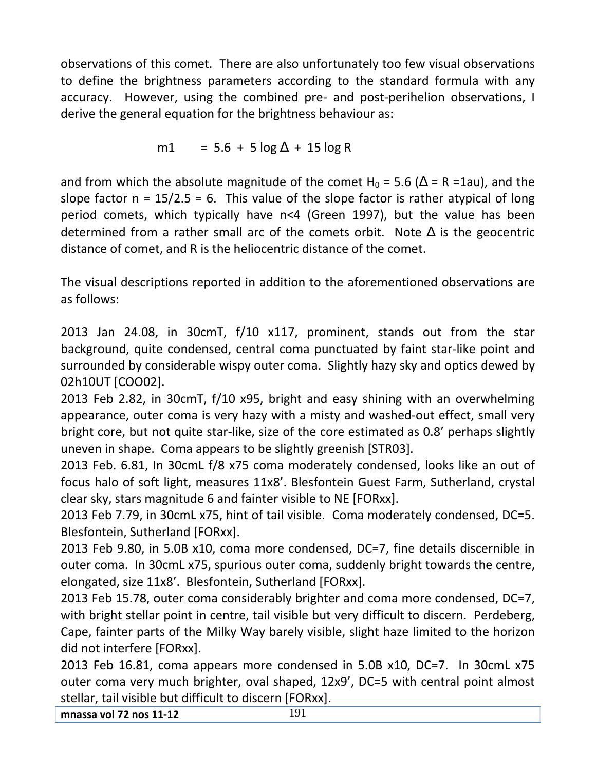observations of this comet. There are also unfortunately too few visual observations to define the brightness parameters according to the standard formula with any accuracy. However, using the combined pre- and post-perihelion observations, I derive the general equation for the brightness behaviour as:

$$
m1 = 5.6 + 5 \log \Delta + 15 \log R
$$

and from which the absolute magnitude of the comet H<sub>0</sub> = 5.6 ( $\Delta$  = R =1au), and the slope factor  $n = 15/2.5 = 6$ . This value of the slope factor is rather atypical of long period comets, which typically have n<4 (Green 1997), but the value has been determined from a rather small arc of the comets orbit. Note  $\Delta$  is the geocentric distance of comet, and R is the heliocentric distance of the comet.

The visual descriptions reported in addition to the aforementioned observations are as follows:

2013 Jan 24.08, in 30cmT, f/10 x117, prominent, stands out from the star background, quite condensed, central coma punctuated by faint star-like point and surrounded by considerable wispy outer coma. Slightly hazy sky and optics dewed by 02h10UT [COO02].

2013 Feb 2.82, in 30cmT, f/10 x95, bright and easy shining with an overwhelming appearance, outer coma is very hazy with a misty and washed-out effect, small very bright core, but not quite star-like, size of the core estimated as 0.8' perhaps slightly uneven in shape. Coma appears to be slightly greenish [STR03].

2013 Feb. 6.81, In 30cmL f/8 x75 coma moderately condensed, looks like an out of focus halo of soft light, measures 11x8'. Blesfontein Guest Farm, Sutherland, crystal clear sky, stars magnitude 6 and fainter visible to NE [FORxx].

2013 Feb 7.79, in 30cmL x75, hint of tail visible. Coma moderately condensed, DC=5. Blesfontein, Sutherland [FORxx].

2013 Feb 9.80, in 5.0B x10, coma more condensed, DC=7, fine details discernible in outer coma. In 30cmL x75, spurious outer coma, suddenly bright towards the centre, elongated, size 11x8'. Blesfontein, Sutherland [FORxx].

2013 Feb 15.78, outer coma considerably brighter and coma more condensed, DC=7, with bright stellar point in centre, tail visible but very difficult to discern. Perdeberg, Cape, fainter parts of the Milky Way barely visible, slight haze limited to the horizon did not interfere [FORxx].

2013 Feb 16.81, coma appears more condensed in 5.0B x10, DC=7. In 30cmL x75 outer coma very much brighter, oval shaped, 12x9', DC=5 with central point almost stellar, tail visible but difficult to discern [FORxx].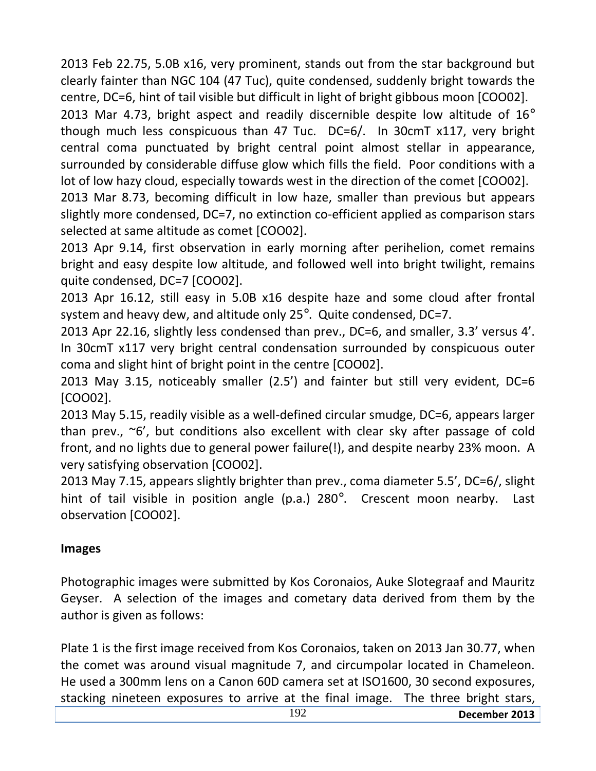2013 Feb 22.75, 5.0B x16, very prominent, stands out from the star background but clearly fainter than NGC 104 (47 Tuc), quite condensed, suddenly bright towards the centre, DC=6, hint of tail visible but difficult in light of bright gibbous moon [COO02].

2013 Mar 4.73, bright aspect and readily discernible despite low altitude of  $16^{\circ}$ though much less conspicuous than 47 Tuc. DC=6/. In 30cmT x117, very bright central coma punctuated by bright central point almost stellar in appearance, surrounded by considerable diffuse glow which fills the field. Poor conditions with a lot of low hazy cloud, especially towards west in the direction of the comet [COO02].

2013 Mar 8.73, becoming difficult in low haze, smaller than previous but appears slightly more condensed, DC=7, no extinction co-efficient applied as comparison stars selected at same altitude as comet [COO02].

2013 Apr 9.14, first observation in early morning after perihelion, comet remains bright and easy despite low altitude, and followed well into bright twilight, remains quite condensed, DC=7 [COO02].

2013 Apr 16.12, still easy in 5.0B x16 despite haze and some cloud after frontal system and heavy dew, and altitude only  $25^\circ$ . Quite condensed, DC=7.

2013 Apr 22.16, slightly less condensed than prev., DC=6, and smaller, 3.3' versus 4'. In 30cmT x117 very bright central condensation surrounded by conspicuous outer coma and slight hint of bright point in the centre [COO02].

2013 May 3.15, noticeably smaller (2.5') and fainter but still very evident, DC=6 [COO02].

2013 May 5.15, readily visible as a well-defined circular smudge, DC=6, appears larger than prev., ~6', but conditions also excellent with clear sky after passage of cold front, and no lights due to general power failure(!), and despite nearby 23% moon. A very satisfying observation [COO02].

2013 May 7.15, appears slightly brighter than prev., coma diameter 5.5', DC=6/, slight hint of tail visible in position angle (p.a.) 280°. Crescent moon nearby. Last observation [COO02].

### **Images**

Photographic images were submitted by Kos Coronaios, Auke Slotegraaf and Mauritz Geyser. A selection of the images and cometary data derived from them by the author is given as follows:

Plate 1 is the first image received from Kos Coronaios, taken on 2013 Jan 30.77, when the comet was around visual magnitude 7, and circumpolar located in Chameleon. He used a 300mm lens on a Canon 60D camera set at ISO1600, 30 second exposures, stacking nineteen exposures to arrive at the final image. The three bright stars,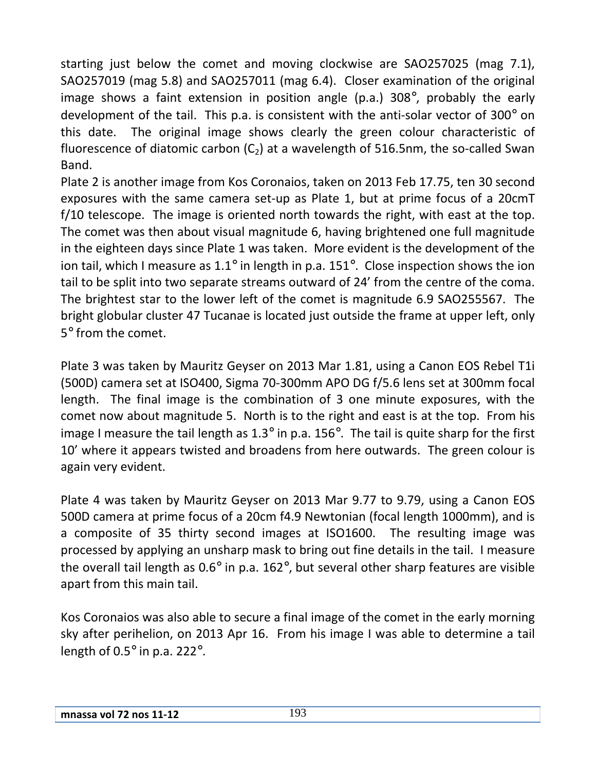starting just below the comet and moving clockwise are SAO257025 (mag 7.1), SAO257019 (mag 5.8) and SAO257011 (mag 6.4). Closer examination of the original image shows a faint extension in position angle (p.a.) 308°, probably the early development of the tail. This p.a. is consistent with the anti-solar vector of 300° on this date. The original image shows clearly the green colour characteristic of fluorescence of diatomic carbon  $(C_2)$  at a wavelength of 516.5nm, the so-called Swan Band.

Plate 2 is another image from Kos Coronaios, taken on 2013 Feb 17.75, ten 30 second exposures with the same camera set-up as Plate 1, but at prime focus of a 20cmT f/10 telescope. The image is oriented north towards the right, with east at the top. The comet was then about visual magnitude 6, having brightened one full magnitude in the eighteen days since Plate 1 was taken. More evident is the development of the ion tail, which I measure as 1.1° in length in p.a. 151°. Close inspection shows the ion tail to be split into two separate streams outward of 24' from the centre of the coma. The brightest star to the lower left of the comet is magnitude 6.9 SAO255567. The bright globular cluster 47 Tucanae is located just outside the frame at upper left, only 5° from the comet.

Plate 3 was taken by Mauritz Geyser on 2013 Mar 1.81, using a Canon EOS Rebel T1i (500D) camera set at ISO400, Sigma 70-300mm APO DG f/5.6 lens set at 300mm focal length. The final image is the combination of 3 one minute exposures, with the comet now about magnitude 5. North is to the right and east is at the top. From his image I measure the tail length as  $1.3^\circ$  in p.a. 156°. The tail is quite sharp for the first 10' where it appears twisted and broadens from here outwards. The green colour is again very evident.

Plate 4 was taken by Mauritz Geyser on 2013 Mar 9.77 to 9.79, using a Canon EOS 500D camera at prime focus of a 20cm f4.9 Newtonian (focal length 1000mm), and is a composite of 35 thirty second images at ISO1600. The resulting image was processed by applying an unsharp mask to bring out fine details in the tail. I measure the overall tail length as 0.6° in p.a. 162°, but several other sharp features are visible apart from this main tail.

Kos Coronaios was also able to secure a final image of the comet in the early morning sky after perihelion, on 2013 Apr 16. From his image I was able to determine a tail length of 0.5° in p.a. 222°.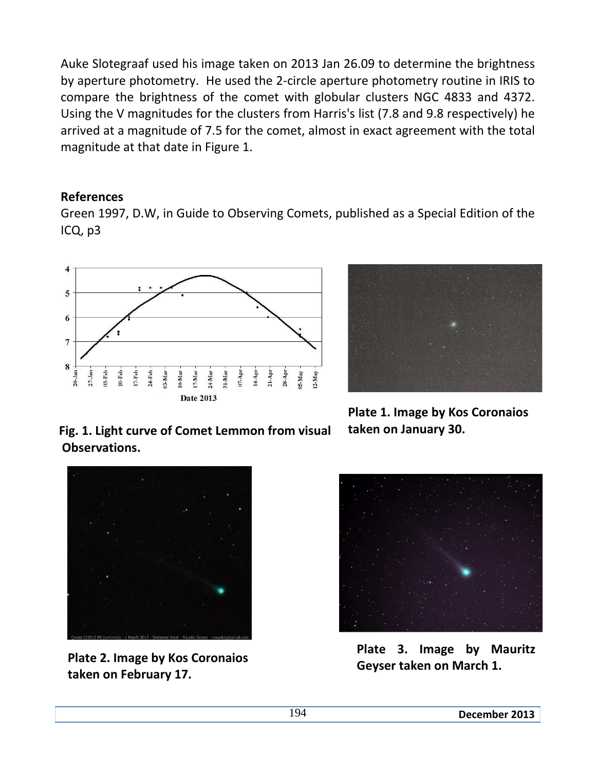Auke Slotegraaf used his image taken on 2013 Jan 26.09 to determine the brightness by aperture photometry. He used the 2-circle aperture photometry routine in IRIS to compare the brightness of the comet with globular clusters NGC 4833 and 4372. Using the V magnitudes for the clusters from Harris's list (7.8 and 9.8 respectively) he arrived at a magnitude of 7.5 for the comet, almost in exact agreement with the total magnitude at that date in Figure 1.

#### **References**

Green 1997, D.W, in Guide to Observing Comets, published as a Special Edition of the ICQ, p3





**Fig. 1. Light curve of Comet Lemmon from visual taken on January 30. Observations.** 

**Plate 1. Image by Kos Coronaios**



**Plate 2. Image by Kos Coronaios taken on February 17.** 



**Plate 3. Image by Mauritz Geyser taken on March 1.**